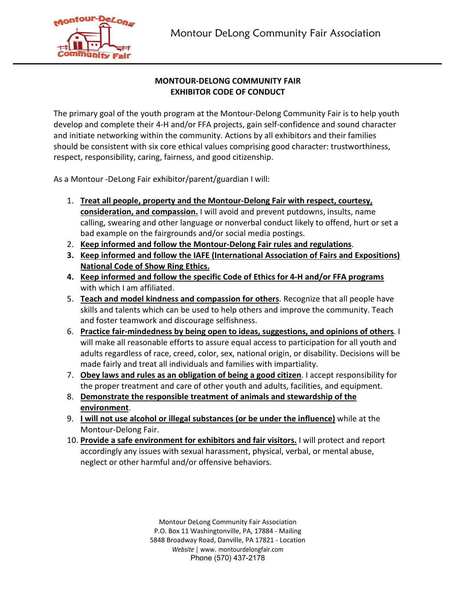

## **MONTOUR-DELONG COMMUNITY FAIR EXHIBITOR CODE OF CONDUCT**

The primary goal of the youth program at the Montour-Delong Community Fair is to help youth develop and complete their 4-H and/or FFA projects, gain self-confidence and sound character and initiate networking within the community. Actions by all exhibitors and their families should be consistent with six core ethical values comprising good character: trustworthiness, respect, responsibility, caring, fairness, and good citizenship.

As a Montour -DeLong Fair exhibitor/parent/guardian I will:

- 1. **Treat all people, property and the Montour-Delong Fair with respect, courtesy, consideration, and compassion.** I will avoid and prevent putdowns, insults, name calling, swearing and other language or nonverbal conduct likely to offend, hurt or set a bad example on the fairgrounds and/or social media postings.
- 2. **Keep informed and follow the Montour-Delong Fair rules and regulations**.
- **3. Keep informed and follow the IAFE (International Association of Fairs and Expositions) National Code of Show Ring Ethics.**
- **4. Keep informed and follow the specific Code of Ethics for 4-H and/or FFA programs** with which I am affiliated.
- 5. **Teach and model kindness and compassion for others**. Recognize that all people have skills and talents which can be used to help others and improve the community. Teach and foster teamwork and discourage selfishness.
- 6. **Practice fair-mindedness by being open to ideas, suggestions, and opinions of others**. I will make all reasonable efforts to assure equal access to participation for all youth and adults regardless of race, creed, color, sex, national origin, or disability. Decisions will be made fairly and treat all individuals and families with impartiality.
- 7. **Obey laws and rules as an obligation of being a good citizen**. I accept responsibility for the proper treatment and care of other youth and adults, facilities, and equipment.
- 8. **Demonstrate the responsible treatment of animals and stewardship of the environment**.
- 9. **I will not use alcohol or illegal substances (or be under the influence)** while at the Montour-Delong Fair.
- 10. **Provide a safe environment for exhibitors and fair visitors.** I will protect and report accordingly any issues with sexual harassment, physical, verbal, or mental abuse, neglect or other harmful and/or offensive behaviors.

Montour DeLong Community Fair Association P.O. Box 11 Washingtonville, PA, 17884 - Mailing 5848 Broadway Road, Danville, PA 17821 - Location *Website* | www. montourdelongfair.com Phone (570) 437-2178